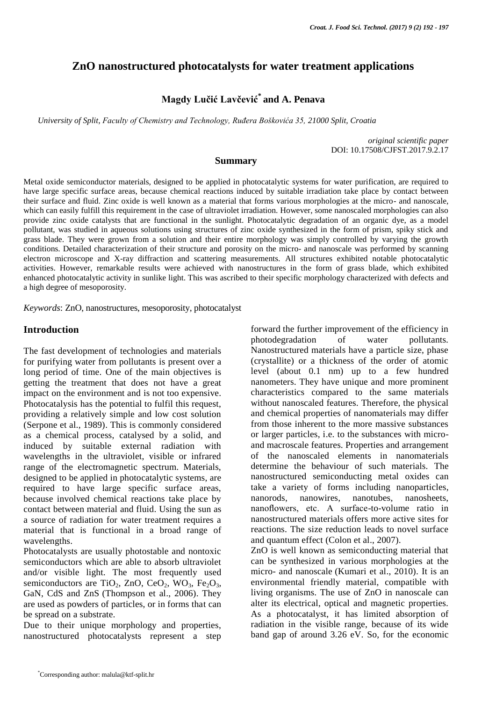# **ZnO nanostructured photocatalysts for water treatment applications**

# **Magdy Lučić Lavčević\* and A. Penava**

*University of Split, Faculty of Chemistry and Technology, Ruđera Boškovića 35, 21000 Split, Croatia*

*original scientific paper* DOI: 10.17508/CJFST.2017.9.2.17

### **Summary**

Metal oxide semiconductor materials, designed to be applied in photocatalytic systems for water purification, are required to have large specific surface areas, because chemical reactions induced by suitable irradiation take place by contact between their surface and fluid. Zinc oxide is well known as a material that forms various morphologies at the micro- and nanoscale, which can easily fulfill this requirement in the case of ultraviolet irradiation. However, some nanoscaled morphologies can also provide zinc oxide catalysts that are functional in the sunlight. Photocatalytic degradation of an organic dye, as a model pollutant, was studied in aqueous solutions using structures of zinc oxide synthesized in the form of prism, spiky stick and grass blade. They were grown from a solution and their entire morphology was simply controlled by varying the growth conditions. Detailed characterization of their structure and porosity on the micro- and nanoscale was performed by scanning electron microscope and X-ray diffraction and scattering measurements. All structures exhibited notable photocatalytic activities. However, remarkable results were achieved with nanostructures in the form of grass blade, which exhibited enhanced photocatalytic activity in sunlike light. This was ascribed to their specific morphology characterized with defects and a high degree of mesoporosity.

*Keywords*: ZnO, nanostructures, mesoporosity, photocatalyst

#### **Introduction**

The fast development of technologies and materials for purifying water from pollutants is present over a long period of time. One of the main objectives is getting the treatment that does not have a great impact on the environment and is not too expensive. Photocatalysis has the potential to fulfil this request, providing a relatively simple and low cost solution (Serpone et al., 1989). This is commonly considered as a chemical process, catalysed by a solid, and induced by suitable external radiation with wavelengths in the ultraviolet, visible or infrared range of the electromagnetic spectrum. Materials, designed to be applied in photocatalytic systems, are required to have large specific surface areas, because involved chemical reactions take place by contact between material and fluid. Using the sun as a source of radiation for water treatment requires a material that is functional in a broad range of wavelengths.

Photocatalysts are usually photostable and nontoxic semiconductors which are able to absorb ultraviolet and/or visible light. The most frequently used semiconductors are TiO<sub>2</sub>, ZnO, CeO<sub>2</sub>, WO<sub>3</sub>, Fe<sub>2</sub>O<sub>3</sub>, GaN, CdS and ZnS (Thompson et al., 2006). They are used as powders of particles, or in forms that can be spread on a substrate.

Due to their unique morphology and properties, nanostructured photocatalysts represent a step

forward the further improvement of the efficiency in photodegradation of water pollutants. Nanostructured materials have a particle size, phase (crystallite) or a thickness of the order of atomic level (about 0.1 nm) up to a few hundred nanometers. They have unique and more prominent characteristics compared to the same materials without nanoscaled features. Therefore, the physical and chemical properties of nanomaterials may differ from those inherent to the more massive substances or larger particles, i.e. to the substances with microand macroscale features. Properties and arrangement of the nanoscaled elements in nanomaterials determine the behaviour of such materials. The nanostructured semiconducting metal oxides can take a variety of forms including nanoparticles, nanorods, nanowires, nanotubes, nanosheets, nanoflowers, etc. A surface-to-volume ratio in nanostructured materials offers more active sites for reactions. The size reduction leads to novel surface and quantum effect (Colon et al., 2007).

ZnO is well known as semiconducting material that can be synthesized in various morphologies at the micro- and nanoscale (Kumari et al., 2010). It is an environmental friendly material, compatible with living organisms. The use of ZnO in nanoscale can alter its electrical, optical and magnetic properties. As a photocatalyst, it has limited absorption of radiation in the visible range, because of its wide band gap of around 3.26 eV. So, for the economic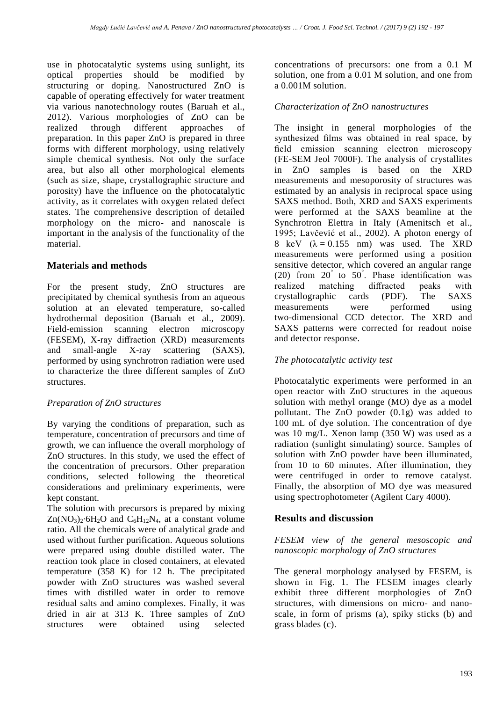use in photocatalytic systems using sunlight, its optical properties should be modified by structuring or doping. Nanostructured ZnO is capable of operating effectively for water treatment via various nanotechnology routes (Baruah et al., 2012). Various morphologies of ZnO can be realized through different approaches of preparation. In this paper ZnO is prepared in three forms with different morphology, using relatively simple chemical synthesis. Not only the surface area, but also all other morphological elements (such as size, shape, crystallographic structure and porosity) have the influence on the photocatalytic activity, as it correlates with oxygen related defect states. The comprehensive description of detailed morphology on the micro- and nanoscale is important in the analysis of the functionality of the material.

## **Materials and methods**

For the present study, ZnO structures are precipitated by chemical synthesis from an aqueous solution at an elevated temperature, so-called hydrothermal deposition (Baruah et al., 2009). Field-emission scanning electron microscopy (FESEM), X-ray diffraction (XRD) measurements and small-angle X-ray scattering (SAXS), performed by using synchrotron radiation were used to characterize the three different samples of ZnO structures.

## *Preparation of ZnO structures*

By varying the conditions of preparation, such as temperature, concentration of precursors and time of growth, we can influence the overall morphology of ZnO structures. In this study, we used the effect of the concentration of precursors. Other preparation conditions, selected following the theoretical considerations and preliminary experiments, were kept constant.

The solution with precursors is prepared by mixing  $Zn(NO_3)_2$ ∙6H<sub>2</sub>O and C<sub>6</sub>H<sub>12</sub>N<sub>4</sub>, at a constant volume ratio. All the chemicals were of analytical grade and used without further purification. Aqueous solutions were prepared using double distilled water. The reaction took place in closed containers, at elevated temperature (358 K) for 12 h. The precipitated powder with ZnO structures was washed several times with distilled water in order to remove residual salts and amino complexes. Finally, it was dried in air at 313 K. Three samples of ZnO structures were obtained using selected concentrations of precursors: one from a 0.1 M solution, one from a 0.01 M solution, and one from a 0.001M solution.

# *Characterization of ZnO nanostructures*

The insight in general morphologies of the synthesized films was obtained in real space, by field emission scanning electron microscopy (FE-SEM Jeol 7000F). The analysis of crystallites in ZnO samples is based on the XRD measurements and mesoporosity of structures was estimated by an analysis in reciprocal space using SAXS method. Both, XRD and SAXS experiments were performed at the SAXS beamline at the Synchrotron Elettra in Italy (Amenitsch et al., 1995; Lavčević et al., 2002). A photon energy of 8 keV  $(\lambda = 0.155$  nm) was used. The XRD measurements were performed using a position sensitive detector, which covered an angular range (20) from  $20^{\degree}$  to  $50^{\degree}$ . Phase identification was realized matching diffracted peaks with crystallographic cards (PDF). The SAXS measurements were performed using two-dimensional CCD detector. The XRD and SAXS patterns were corrected for readout noise and detector response.

# *The photocatalytic activity test*

Photocatalytic experiments were performed in an open reactor with ZnO structures in the aqueous solution with methyl orange (MO) dye as a model pollutant. The ZnO powder (0.1g) was added to 100 mL of dye solution. The concentration of dye was 10 mg/L. Xenon lamp (350 W) was used as a radiation (sunlight simulating) source. Samples of solution with ZnO powder have been illuminated, from 10 to 60 minutes. After illumination, they were centrifuged in order to remove catalyst. Finally, the absorption of MO dye was measured using spectrophotometer (Agilent Cary 4000).

# **Results and discussion**

## *FESEM view of the general mesoscopic and nanoscopic morphology of ZnO structures*

The general morphology analysed by FESEM, is shown in Fig. 1. The FESEM images clearly exhibit three different morphologies of ZnO structures, with dimensions on micro- and nanoscale, in form of prisms (a), spiky sticks (b) and grass blades (c).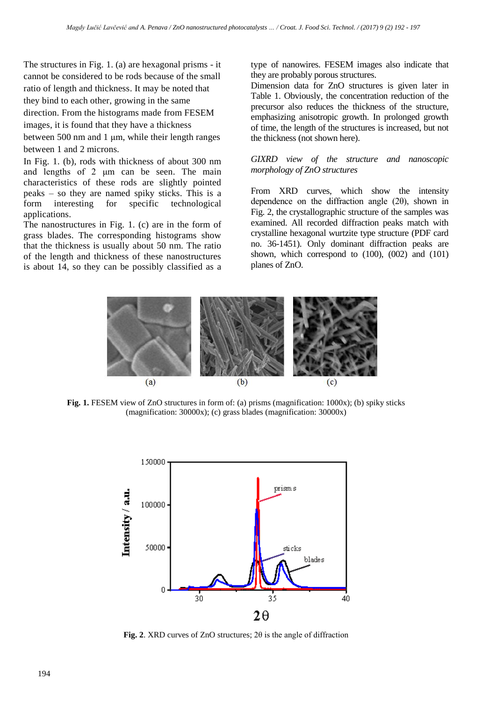The structures in Fig. 1. (a) are hexagonal prisms - it cannot be considered to be rods because of the small ratio of length and thickness. It may be noted that they bind to each other, growing in the same

direction. From the histograms made from FESEM images, it is found that they have a thickness

between 500 nm and 1 μm, while their length ranges

between 1 and 2 microns.

In Fig. 1. (b), rods with thickness of about 300 nm and lengths of 2 μm can be seen. The main characteristics of these rods are slightly pointed peaks – so they are named spiky sticks. This is a form interesting for specific technological applications.

The nanostructures in Fig. 1. (c) are in the form of grass blades. The corresponding histograms show that the thickness is usually about 50 nm. The ratio of the length and thickness of these nanostructures is about 14, so they can be possibly classified as a type of nanowires. FESEM images also indicate that they are probably porous structures.

Dimension data for ZnO structures is given later in Table 1. Obviously, the concentration reduction of the precursor also reduces the thickness of the structure, emphasizing anisotropic growth. In prolonged growth of time, the length of the structures is increased, but not the thickness (not shown here).

#### *GIXRD view of the structure and nanoscopic morphology of ZnO structures*

From XRD curves, which show the intensity dependence on the diffraction angle (2θ), shown in Fig. 2, the crystallographic structure of the samples was examined. All recorded diffraction peaks match with crystalline hexagonal wurtzite type structure (PDF card no. 36-1451). Only dominant diffraction peaks are shown, which correspond to  $(100)$ ,  $(002)$  and  $(101)$ planes of ZnO.



**Fig. 1.** FESEM view of ZnO structures in form of: (a) prisms (magnification: 1000x); (b) spiky sticks (magnification: 30000x); (c) grass blades (magnification: 30000x)



**Fig. 2**. XRD curves of ZnO structures; 2θ is the angle of diffraction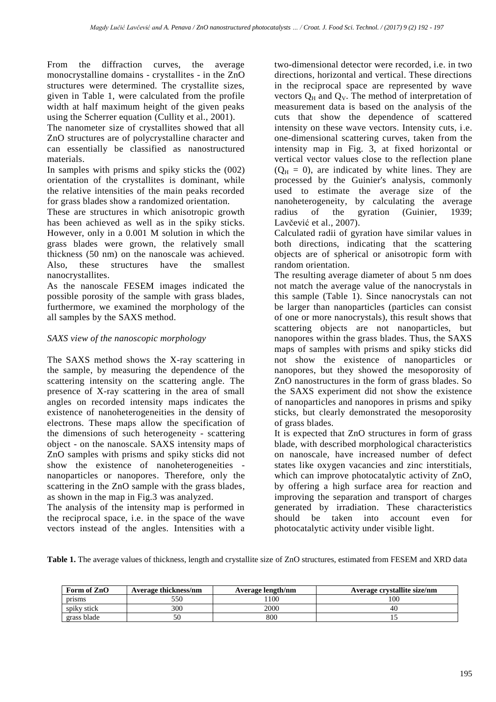From the diffraction curves, the average monocrystalline domains - crystallites - in the ZnO structures were determined. The crystallite sizes, given in Table 1, were calculated from the profile width at half maximum height of the given peaks using the Scherrer equation (Cullity et al., 2001).

The nanometer size of crystallites showed that all ZnO structures are of polycrystalline character and can essentially be classified as nanostructured materials.

In samples with prisms and spiky sticks the (002) orientation of the crystallites is dominant, while the relative intensities of the main peaks recorded for grass blades show a randomized orientation.

These are structures in which anisotropic growth has been achieved as well as in the spiky sticks. However, only in a 0.001 M solution in which the grass blades were grown, the relatively small thickness (50 nm) on the nanoscale was achieved. Also, these structures have the smallest nanocrystallites.

As the nanoscale FESEM images indicated the possible porosity of the sample with grass blades, furthermore, we examined the morphology of the all samples by the SAXS method.

## *SAXS view of the nanoscopic morphology*

The SAXS method shows the X-ray scattering in the sample, by measuring the dependence of the scattering intensity on the scattering angle. The presence of X-ray scattering in the area of small angles on recorded intensity maps indicates the existence of nanoheterogeneities in the density of electrons. These maps allow the specification of the dimensions of such heterogeneity - scattering object - on the nanoscale. SAXS intensity maps of ZnO samples with prisms and spiky sticks did not show the existence of nanoheterogeneities nanoparticles or nanopores. Therefore, only the scattering in the ZnO sample with the grass blades, as shown in the map in Fig.3 was analyzed.

The analysis of the intensity map is performed in the reciprocal space, i.e. in the space of the wave vectors instead of the angles. Intensities with a two-dimensional detector were recorded, i.e. in two directions, horizontal and vertical. These directions in the reciprocal space are represented by wave vectors  $Q_H$  and  $Q_V$ . The method of interpretation of measurement data is based on the analysis of the cuts that show the dependence of scattered intensity on these wave vectors. Intensity cuts, i.e. one-dimensional scattering curves, taken from the intensity map in Fig. 3, at fixed horizontal or vertical vector values close to the reflection plane  $(Q<sub>H</sub> = 0)$ , are indicated by white lines. They are processed by the Guinier's analysis, commonly used to estimate the average size of the nanoheterogeneity, by calculating the average radius of the gyration (Guinier, 1939; Lavčević et al., 2007).

Calculated radii of gyration have similar values in both directions, indicating that the scattering objects are of spherical or anisotropic form with random orientation.

The resulting average diameter of about 5 nm does not match the average value of the nanocrystals in this sample (Table 1). Since nanocrystals can not be larger than nanoparticles (particles can consist of one or more nanocrystals), this result shows that scattering objects are not nanoparticles, but nanopores within the grass blades. Thus, the SAXS maps of samples with prisms and spiky sticks did not show the existence of nanoparticles or nanopores, but they showed the mesoporosity of ZnO nanostructures in the form of grass blades. So the SAXS experiment did not show the existence of nanoparticles and nanopores in prisms and spiky sticks, but clearly demonstrated the mesoporosity of grass blades.

It is expected that ZnO structures in form of grass blade, with described morphological characteristics on nanoscale, have increased number of defect states like oxygen vacancies and zinc interstitials, which can improve photocatalytic activity of ZnO, by offering a high surface area for reaction and improving the separation and transport of charges generated by irradiation. These characteristics should be taken into account even for photocatalytic activity under visible light.

**Table 1.** The average values of thickness, length and crystallite size of ZnO structures, estimated from FESEM and XRD data

| Form of ZnO | Average thickness/nm | Average length/nm | Average crystallite size/nm |
|-------------|----------------------|-------------------|-----------------------------|
| prisms      | 550                  | 100               | 100                         |
| spiky stick | 300                  | 2000              | 40                          |
| grass blade | 50                   | 800               |                             |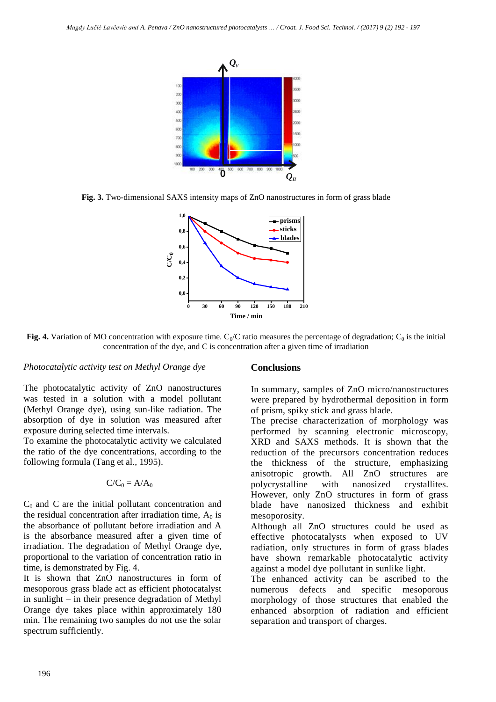

**Fig. 3.** Two-dimensional SAXS intensity maps of ZnO nanostructures in form of grass blade



**Fig. 4.** Variation of MO concentration with exposure time.  $C_0/C$  ratio measures the percentage of degradation;  $C_0$  is the initial concentration of the dye, and C is concentration after a given time of irradiation

#### *Photocatalytic activity test on Methyl Orange dye*

The photocatalytic activity of ZnO nanostructures was tested in a solution with a model pollutant (Methyl Orange dye), using sun-like radiation. The absorption of dye in solution was measured after exposure during selected time intervals.

To examine the photocatalytic activity we calculated the ratio of the dye concentrations, according to the following formula (Tang et al., 1995).

$$
C/C_0=A/A_0
$$

 $C_0$  and C are the initial pollutant concentration and the residual concentration after irradiation time,  $A_0$  is the absorbance of pollutant before irradiation and A is the absorbance measured after a given time of irradiation. The degradation of Methyl Orange dye, proportional to the variation of concentration ratio in time, is demonstrated by Fig. 4.

It is shown that ZnO nanostructures in form of mesoporous grass blade act as efficient photocatalyst in sunlight – in their presence degradation of Methyl Orange dye takes place within approximately 180 min. The remaining two samples do not use the solar spectrum sufficiently.

#### **Conclusions**

In summary, samples of ZnO micro/nanostructures were prepared by hydrothermal deposition in form of prism, spiky stick and grass blade.

The precise characterization of morphology was performed by scanning electronic microscopy, XRD and SAXS methods. It is shown that the reduction of the precursors concentration reduces the thickness of the structure, emphasizing anisotropic growth. All ZnO structures are polycrystalline with nanosized crystallites. However, only ZnO structures in form of grass blade have nanosized thickness and exhibit mesoporosity.

Although all ZnO structures could be used as effective photocatalysts when exposed to UV radiation, only structures in form of grass blades have shown remarkable photocatalytic activity against a model dye pollutant in sunlike light.

The enhanced activity can be ascribed to the numerous defects and specific mesoporous morphology of those structures that enabled the enhanced absorption of radiation and efficient separation and transport of charges.